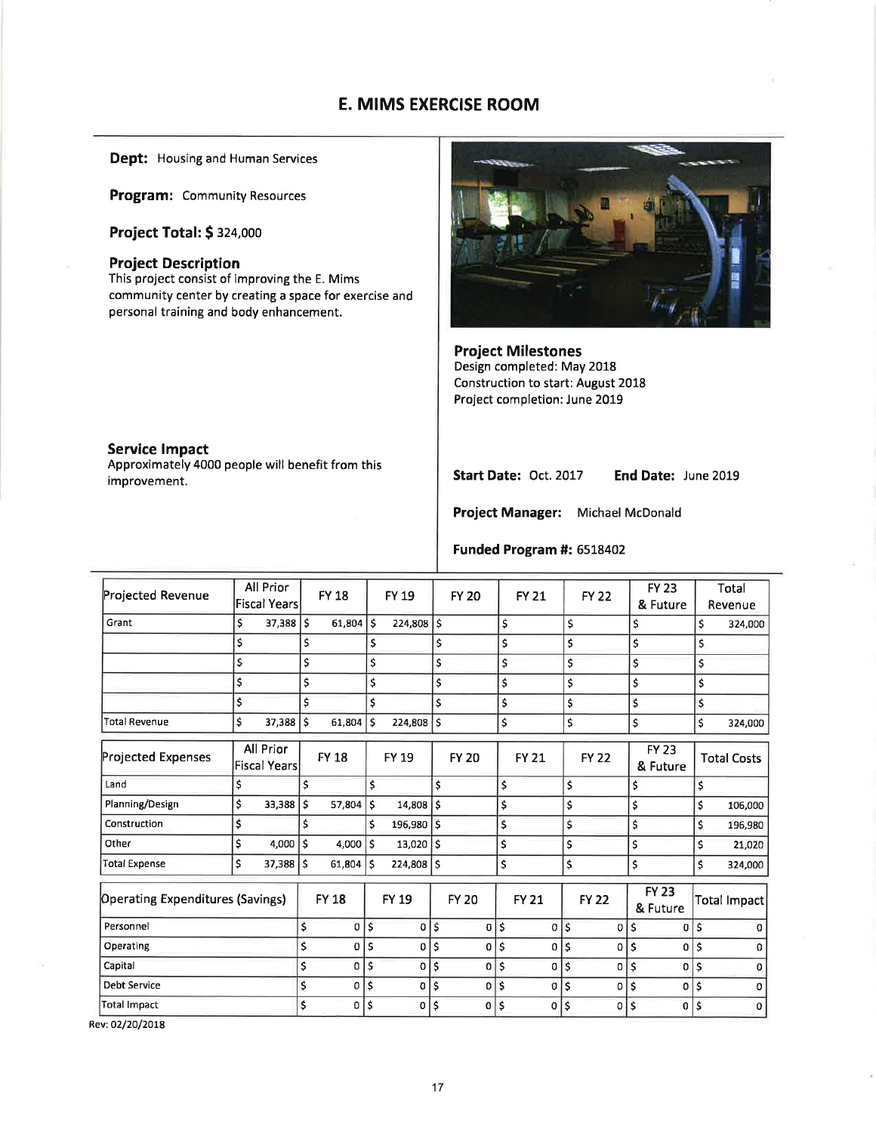## E. MIMS EXERCISE ROOM

Dept: Housing and Human Services

Program: Community Resources

Project Total: \$ 324,000

#### Project Description

This project consist of improving the E. Mims community center by creating a space for exercise and personal training and body enhancement.



Project Milestones Design completed: May 2018 Construction to start: August 2018 Project completion: June 2019

### Service lmpact

Approximately 4000 people will benefit from this improvement.

Start Date: Oct. 2017 End Date: June 2019

Project Manager: Michael McDonald

#### Funded Program #: 6518402

| Projected Revenue                       |    | All Prior<br><b>Fiscal Years</b> |    | <b>FY 18</b> |     | <b>FY 19</b> |              | <b>FY 20</b> |            | <b>FY 21</b> |             | <b>FY 22</b> |    | <b>FY 23</b><br>& Future | Total<br>Revenue   |         |
|-----------------------------------------|----|----------------------------------|----|--------------|-----|--------------|--------------|--------------|------------|--------------|-------------|--------------|----|--------------------------|--------------------|---------|
| Grant                                   | \$ | 37,388                           | \$ | $61,804$ S   |     | $224,808$ \$ |              |              | \$         |              | \$          |              |    | \$                       | \$                 | 324,000 |
|                                         | \$ |                                  | \$ |              | \$  |              | \$           |              | \$         |              | \$          |              |    | \$                       | \$                 |         |
|                                         | \$ |                                  | \$ |              | \$  |              | \$           |              | \$         |              | \$          |              |    | \$                       | \$                 |         |
|                                         | \$ |                                  | \$ |              | \$  |              | \$           |              | \$         |              | \$          |              |    | \$                       | \$                 |         |
|                                         | \$ |                                  | \$ |              | Ś   |              | \$           |              | \$         |              | \$          |              |    | \$                       | \$                 |         |
| <b>Total Revenue</b>                    | \$ | 37,388                           | \$ | 61,804       | Ś   | 224,808      | \$           |              | \$         |              | \$          |              |    | \$                       | \$                 | 324,000 |
| <b>Projected Expenses</b>               |    | All Prior<br><b>Fiscal Years</b> |    | <b>FY 18</b> |     | FY 19        |              | <b>FY 20</b> |            | <b>FY 21</b> |             | <b>FY 22</b> |    | <b>FY 23</b><br>& Future | <b>Total Costs</b> |         |
| Land                                    | \$ |                                  | \$ |              | \$  |              | $\mathsf{s}$ |              | \$         |              | \$          |              |    | \$                       | \$                 |         |
| Planning/Design                         | \$ | 33,388                           | \$ | 57,804       | \$  | 14,808       | \$           |              | \$         |              | \$          |              |    | \$                       | \$<br>106,000      |         |
| Construction                            | \$ |                                  | Ś  |              | \$  | 196,980      | Ś            |              | \$         |              | \$          |              |    | \$                       | \$<br>196,980      |         |
| Other                                   | \$ | 4,000                            | \$ | $4,000$ S    |     | $13,020$ \$  |              |              | \$         |              | \$          |              |    | \$                       | \$                 | 21,020  |
| <b>Total Expense</b>                    | \$ | 37,388                           | \$ | 61,804       | l s | $224,808$ \$ |              |              | \$         |              | \$          |              |    | \$                       | \$<br>324,000      |         |
| <b>Operating Expenditures (Savings)</b> |    |                                  |    | <b>FY 18</b> |     | <b>FY 19</b> |              | <b>FY 20</b> |            | <b>FY 21</b> |             | <b>FY 22</b> |    | <b>FY 23</b><br>& Future | Total Impact       |         |
| Personnel                               |    |                                  | \$ | $\sigma$     | \$  | 0 S          |              | 0            | $\sqrt{5}$ |              | $0 \mid$ \$ | 0            | \$ | 0                        | \$                 | o       |
| Operating                               |    |                                  | \$ | $\mathbf 0$  | \$  | 0            | Ś            | 0            | \$         | $\Omega$     | \$          | 0            | Ś  | 0                        | \$                 |         |
| Capital                                 |    |                                  | \$ | 0            | \$  | O            | \$           | 0            | \$         | 0            | \$          | 0            | \$ | 0                        | \$                 | n       |
| <b>Debt Service</b>                     |    |                                  | \$ | 0            | \$  | 0            | \$           | 0            | \$         | 0            | \$          | 0            | \$ | 0                        | \$                 | O       |
| <b>Total Impact</b>                     |    |                                  | \$ | $\mathbf{0}$ | \$  | $\circ$      | $\mathsf{S}$ | 0            | \$         | 0            | \$          | 0            | \$ | $\mathbf{0}$             | \$                 | 0       |
|                                         |    |                                  |    |              |     |              |              |              |            |              |             |              |    |                          |                    |         |

Rev: 02/20/2018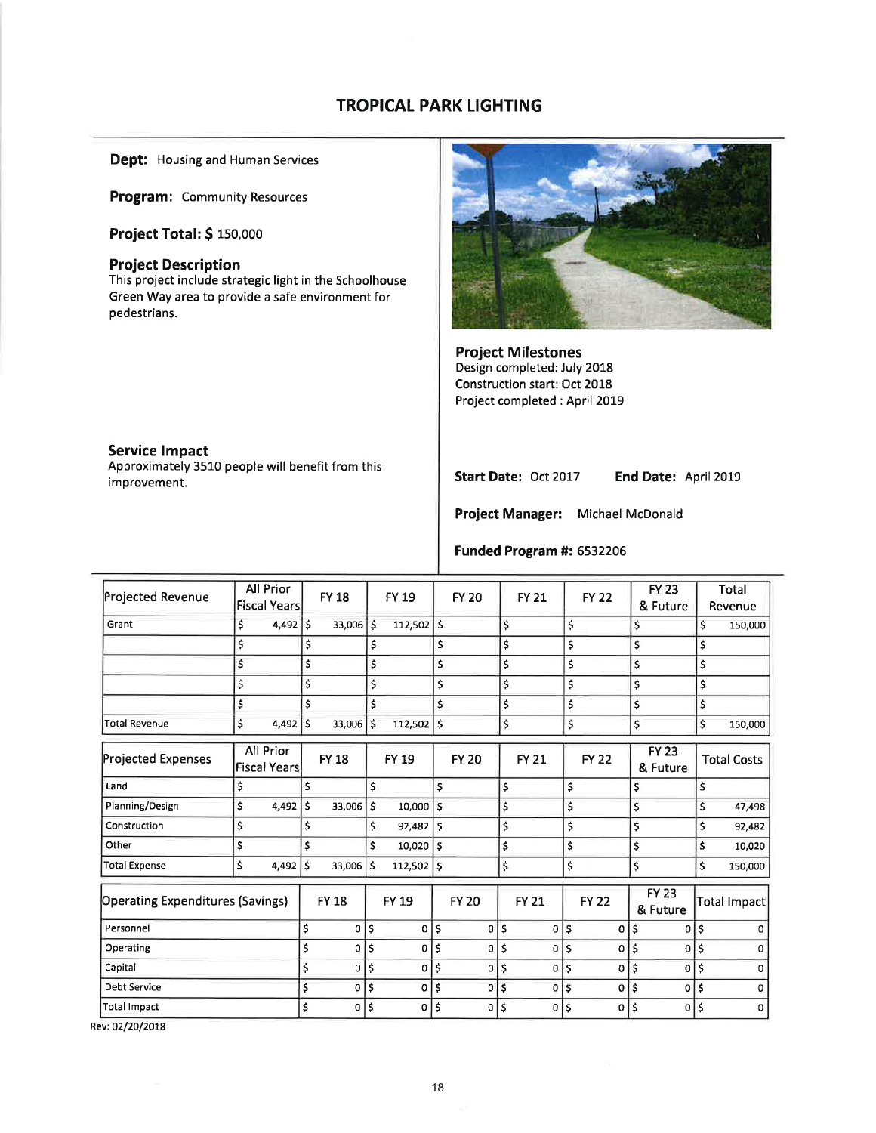# TROPICAL PARK LIGHTING

Dept: Housing and Human Services

Program: Community Resources

Project Total: \$ 150,000

#### Project Description

This project include strategic light in the Schoolhouse Green Way area to provide a safe environment for pedestrians.



Project Milestones Design completed: July 2018 Construction start: Oct 2018 Project completed : April 2019

#### Service lmpact

Approximately 3510 people will benefit from this improvement.

Start Date: Oct 2017 End Date: April 2019

Project Manager: Michael McDonald

## Funded Program #: 6532206

| All Prior<br><b>FY 23</b><br>Projected Revenue<br><b>FY 18</b><br>FY 19<br><b>FY 20</b><br><b>FY 21</b><br><b>FY 22</b><br><b>Fiscal Years</b><br>& Future<br>\$<br>\$<br>4,492<br>١\$<br>33,006 \$<br>\$<br>\$<br>112,502<br>Grant<br>\$<br>Ś<br>\$<br>\$<br>\$<br>\$<br>\$<br>\$<br>\$<br>\$<br>\$<br>\$<br>\$<br>\$<br>\$<br>\$<br>\$<br>\$<br>\$<br>\$<br>\$<br>\$<br>\$<br>\$<br>\$<br>\$<br>\$<br>Ś<br>\$<br>\$<br>\$<br>\$<br>\$<br>\$<br>\$<br>\$<br>33,006 \$<br>4,492<br>\$<br>\$<br>\$<br>\$<br><b>Total Revenue</b><br>112,502<br>\$<br>All Prior<br><b>FY 23</b><br>Projected Expenses<br><b>FY 18</b><br><b>FY 20</b><br>FY 19<br><b>FY 21</b><br><b>FY 22</b><br><b>Fiscal Years</b><br>& Future<br>\$<br>\$<br>\$<br>\$<br>\$<br>\$<br>\$<br>Land<br>\$<br>\$<br>\$<br>4,492<br>\$<br>\$<br>Planning/Design<br>Ś<br>33,006<br>$\mathsf{s}$<br>10,000<br>\$<br>\$<br>\$<br>\$<br>\$<br>\$<br>\$<br>\$<br>Construction<br>\$<br>\$<br>92,482<br>\$<br>\$<br>\$<br>\$<br>\$<br>10,020<br>\$<br>Other<br>١s<br>\$<br>\$<br>\$<br>\$<br>\$<br>4,492<br>\$<br>$112,502$ \$<br><b>Total Expense</b><br>$33,006$ \$<br>\$<br><b>FY 23</b><br>FY 19<br><b>Operating Expenditures (Savings)</b><br><b>FY 18</b><br><b>FY 20</b><br><b>FY 21</b><br><b>FY 22</b><br>& Future<br>\$<br>$\mathsf{S}$<br>\$<br>\$<br>\$<br>\$<br>Personnel<br>$\overline{0}$<br>$\mathbf{o}$<br>0<br>\$<br>0<br>0<br>0<br>\$<br>\$<br>Ś<br>\$<br>\$<br>Ś<br>\$<br>$\Omega$<br>Operating<br>0<br>0<br>0<br>0<br>0<br>\$<br>\$<br>\$<br>\$<br>\$<br>Capital<br>$\Omega$<br>\$<br>0<br>0<br>$\Omega$<br>\$<br>0<br>0<br>\$<br>\$<br>\$<br>\$<br><b>Debt Service</b><br>\$<br>\$<br>0<br>\$<br>$\bf{0}$<br>0<br>0<br>0<br>0 |              |  |   |   |         |         |         |         |   |   |   |                    |
|-----------------------------------------------------------------------------------------------------------------------------------------------------------------------------------------------------------------------------------------------------------------------------------------------------------------------------------------------------------------------------------------------------------------------------------------------------------------------------------------------------------------------------------------------------------------------------------------------------------------------------------------------------------------------------------------------------------------------------------------------------------------------------------------------------------------------------------------------------------------------------------------------------------------------------------------------------------------------------------------------------------------------------------------------------------------------------------------------------------------------------------------------------------------------------------------------------------------------------------------------------------------------------------------------------------------------------------------------------------------------------------------------------------------------------------------------------------------------------------------------------------------------------------------------------------------------------------------------------------------------------------------------------------------------------------------------------------|--------------|--|---|---|---------|---------|---------|---------|---|---|---|--------------------|
|                                                                                                                                                                                                                                                                                                                                                                                                                                                                                                                                                                                                                                                                                                                                                                                                                                                                                                                                                                                                                                                                                                                                                                                                                                                                                                                                                                                                                                                                                                                                                                                                                                                                                                           |              |  |   |   |         |         |         |         |   |   |   | Total<br>Revenue   |
|                                                                                                                                                                                                                                                                                                                                                                                                                                                                                                                                                                                                                                                                                                                                                                                                                                                                                                                                                                                                                                                                                                                                                                                                                                                                                                                                                                                                                                                                                                                                                                                                                                                                                                           |              |  |   |   |         |         |         |         |   |   |   | 150,000            |
|                                                                                                                                                                                                                                                                                                                                                                                                                                                                                                                                                                                                                                                                                                                                                                                                                                                                                                                                                                                                                                                                                                                                                                                                                                                                                                                                                                                                                                                                                                                                                                                                                                                                                                           |              |  |   |   |         |         |         |         |   |   |   |                    |
|                                                                                                                                                                                                                                                                                                                                                                                                                                                                                                                                                                                                                                                                                                                                                                                                                                                                                                                                                                                                                                                                                                                                                                                                                                                                                                                                                                                                                                                                                                                                                                                                                                                                                                           |              |  |   |   |         |         |         |         |   |   |   |                    |
|                                                                                                                                                                                                                                                                                                                                                                                                                                                                                                                                                                                                                                                                                                                                                                                                                                                                                                                                                                                                                                                                                                                                                                                                                                                                                                                                                                                                                                                                                                                                                                                                                                                                                                           |              |  |   |   |         |         |         |         |   |   |   |                    |
|                                                                                                                                                                                                                                                                                                                                                                                                                                                                                                                                                                                                                                                                                                                                                                                                                                                                                                                                                                                                                                                                                                                                                                                                                                                                                                                                                                                                                                                                                                                                                                                                                                                                                                           |              |  |   |   |         |         |         |         |   |   |   |                    |
|                                                                                                                                                                                                                                                                                                                                                                                                                                                                                                                                                                                                                                                                                                                                                                                                                                                                                                                                                                                                                                                                                                                                                                                                                                                                                                                                                                                                                                                                                                                                                                                                                                                                                                           |              |  |   |   |         |         |         |         |   |   |   | 150,000            |
|                                                                                                                                                                                                                                                                                                                                                                                                                                                                                                                                                                                                                                                                                                                                                                                                                                                                                                                                                                                                                                                                                                                                                                                                                                                                                                                                                                                                                                                                                                                                                                                                                                                                                                           |              |  |   |   |         |         |         |         |   |   |   | <b>Total Costs</b> |
|                                                                                                                                                                                                                                                                                                                                                                                                                                                                                                                                                                                                                                                                                                                                                                                                                                                                                                                                                                                                                                                                                                                                                                                                                                                                                                                                                                                                                                                                                                                                                                                                                                                                                                           |              |  |   |   |         |         |         |         |   |   |   |                    |
|                                                                                                                                                                                                                                                                                                                                                                                                                                                                                                                                                                                                                                                                                                                                                                                                                                                                                                                                                                                                                                                                                                                                                                                                                                                                                                                                                                                                                                                                                                                                                                                                                                                                                                           |              |  |   |   |         |         |         |         |   |   |   | 47,498             |
|                                                                                                                                                                                                                                                                                                                                                                                                                                                                                                                                                                                                                                                                                                                                                                                                                                                                                                                                                                                                                                                                                                                                                                                                                                                                                                                                                                                                                                                                                                                                                                                                                                                                                                           |              |  |   |   |         |         |         |         |   |   |   | 92,482             |
|                                                                                                                                                                                                                                                                                                                                                                                                                                                                                                                                                                                                                                                                                                                                                                                                                                                                                                                                                                                                                                                                                                                                                                                                                                                                                                                                                                                                                                                                                                                                                                                                                                                                                                           |              |  |   |   |         |         |         |         |   |   |   | 10,020             |
|                                                                                                                                                                                                                                                                                                                                                                                                                                                                                                                                                                                                                                                                                                                                                                                                                                                                                                                                                                                                                                                                                                                                                                                                                                                                                                                                                                                                                                                                                                                                                                                                                                                                                                           |              |  |   |   |         |         |         |         |   |   |   | 150,000            |
|                                                                                                                                                                                                                                                                                                                                                                                                                                                                                                                                                                                                                                                                                                                                                                                                                                                                                                                                                                                                                                                                                                                                                                                                                                                                                                                                                                                                                                                                                                                                                                                                                                                                                                           |              |  |   |   |         |         |         |         |   |   |   | Total Impact       |
|                                                                                                                                                                                                                                                                                                                                                                                                                                                                                                                                                                                                                                                                                                                                                                                                                                                                                                                                                                                                                                                                                                                                                                                                                                                                                                                                                                                                                                                                                                                                                                                                                                                                                                           |              |  |   |   |         |         |         |         |   |   |   | $\Omega$           |
|                                                                                                                                                                                                                                                                                                                                                                                                                                                                                                                                                                                                                                                                                                                                                                                                                                                                                                                                                                                                                                                                                                                                                                                                                                                                                                                                                                                                                                                                                                                                                                                                                                                                                                           |              |  |   |   |         |         |         |         |   |   |   | 0                  |
|                                                                                                                                                                                                                                                                                                                                                                                                                                                                                                                                                                                                                                                                                                                                                                                                                                                                                                                                                                                                                                                                                                                                                                                                                                                                                                                                                                                                                                                                                                                                                                                                                                                                                                           |              |  |   |   |         |         |         |         |   |   |   | 0                  |
|                                                                                                                                                                                                                                                                                                                                                                                                                                                                                                                                                                                                                                                                                                                                                                                                                                                                                                                                                                                                                                                                                                                                                                                                                                                                                                                                                                                                                                                                                                                                                                                                                                                                                                           |              |  |   |   |         |         |         |         |   |   |   | $\Omega$           |
|                                                                                                                                                                                                                                                                                                                                                                                                                                                                                                                                                                                                                                                                                                                                                                                                                                                                                                                                                                                                                                                                                                                                                                                                                                                                                                                                                                                                                                                                                                                                                                                                                                                                                                           | Total Impact |  | Ś | 0 | \$<br>0 | \$<br>0 | \$<br>0 | \$<br>0 | Ś | 0 | Ś | 0                  |

Rev: 02/20/2018